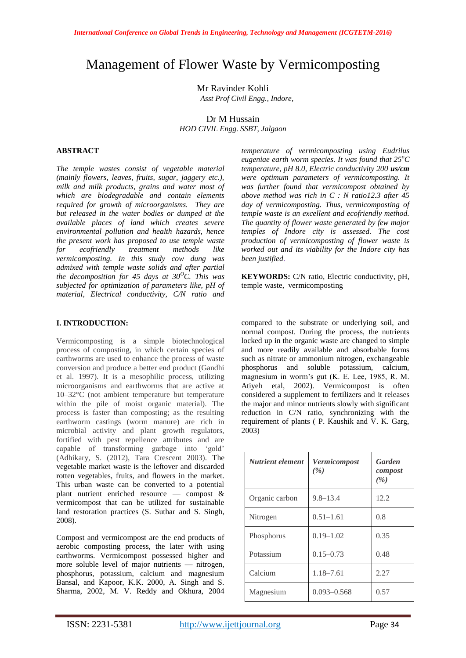# Management of Flower Waste by Vermicomposting

Mr Ravinder Kohli

*Asst Prof Civil Engg., Indore,*

Dr M Hussain *HOD CIVIL Engg. SSBT, Jalgaon*

## **ABSTRACT**

*The temple wastes consist of vegetable material (mainly flowers, leaves, fruits, sugar, jaggery etc.), milk and milk products, grains and water most of which are biodegradable and contain elements required for growth of microorganisms. They are but released in the water bodies or dumped at the available places of land which creates severe environmental pollution and health hazards, hence the present work has proposed to use temple waste for ecofriendly treatment methods like vermicomposting. In this study cow dung was admixed with temple waste solids and after partial the decomposition for 45 days at 30<sup>°</sup>C. This was subjected for optimization of parameters like, pH of material, Electrical conductivity, C/N ratio and* 

## **I. INTRODUCTION:**

Vermicomposting is a simple biotechnological process of composting, in which certain species of earthworms are used to enhance the process of waste conversion and produce a better end product (Gandhi et al. 1997). It is a mesophilic process, utilizing microorganisms and earthworms that are active at 10–32°C (not ambient temperature but temperature within the pile of moist organic material). The process is faster than composting; as the resulting earthworm castings (worm manure) are rich in microbial activity and plant growth regulators, fortified with pest repellence attributes and are capable of transforming garbage into 'gold' (Adhikary, S. (2012), Tara Crescent 2003). The vegetable market waste is the leftover and discarded rotten vegetables, fruits, and flowers in the market. This urban waste can be converted to a potential plant nutrient enriched resource — compost & vermicompost that can be utilized for sustainable land restoration practices (S. Suthar and S. Singh, 2008).

Compost and vermicompost are the end products of aerobic composting process, the later with using earthworms. Vermicompost possessed higher and more soluble level of major nutrients — nitrogen, phosphorus, potassium, calcium and magnesium Bansal, and Kapoor, K.K. 2000, A. Singh and S. Sharma, 2002, M. V. Reddy and Okhura, 2004 *temperature of vermicomposting using Eudrilus eugeniae earth worm species. It was found that 25<sup>o</sup>C temperature, pH 8.0, Electric conductivity 200 us/cm were optimum parameters of vermicomposting. It was further found that vermicompost obtained by above method was rich in C : N ratio12.3 after 45 day of vermicomposting. Thus, vermicomposting of temple waste is an excellent and ecofriendly method. The quantity of flower waste generated by few major temples of Indore city is assessed. The cost production of vermicomposting of flower waste is worked out and its viability for the Indore city has been justified*.

**KEYWORDS:** C/N ratio, Electric conductivity, pH, temple waste, vermicomposting

compared to the substrate or underlying soil, and normal compost. During the process, the nutrients locked up in the organic waste are changed to simple and more readily available and absorbable forms such as nitrate or ammonium nitrogen, exchangeable phosphorus and soluble potassium, calcium, magnesium in worm's gut (K. E. Lee, 1985, R. M. Atiyeh etal, 2002). Vermicompost is often considered a supplement to fertilizers and it releases the major and minor nutrients slowly with significant reduction in C/N ratio, synchronizing with the requirement of plants ( P. Kaushik and V. K. Garg, 2003)

| <b>Nutrient element</b> | Vermicompost<br>( %) | <b>Garden</b><br>compost<br>( %) |
|-------------------------|----------------------|----------------------------------|
| Organic carbon          | $9.8 - 13.4$         | 12.2                             |
| Nitrogen                | $0.51 - 1.61$        | 0.8                              |
| Phosphorus              | $0.19 - 1.02$        | 0.35                             |
| Potassium               | $0.15 - 0.73$        | 0.48                             |
| Calcium                 | $1.18 - 7.61$        | 2.27                             |
| Magnesium               | $0.093 - 0.568$      | 0.57                             |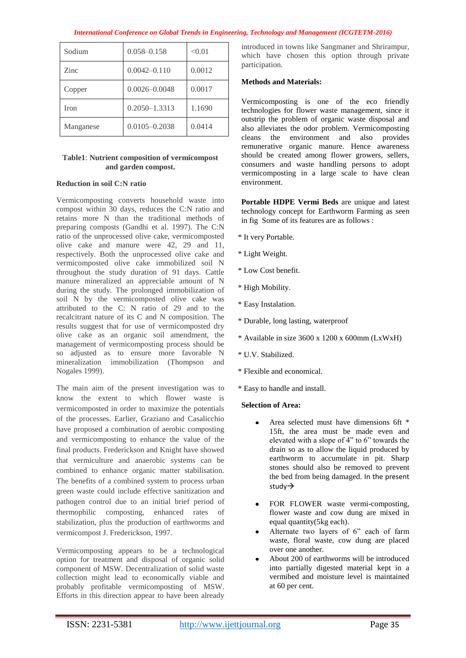| International Conference on Global Trends in Engineering, Technology and Management (ICGTETM-2016) |  |  |  |
|----------------------------------------------------------------------------------------------------|--|--|--|
|                                                                                                    |  |  |  |

| Sodium    | $0.058 - 0.158$   | < 0.01 |
|-----------|-------------------|--------|
| Zinc      | $0.0042 - 0.110$  | 0.0012 |
| Copper    | $0.0026 - 0.0048$ | 0.0017 |
| Iron      | $0.2050 - 1.3313$ | 1.1690 |
| Manganese | $0.0105 - 0.2038$ | 0.0414 |

# **Table1**: **Nutrient composition of vermicompost and garden compost.**

# **Reduction in soil C:N ratio**

Vermicomposting converts household waste into compost within 30 days, reduces the C:N ratio and retains more N than the traditional methods of preparing composts (Gandhi et al. 1997). The C:N ratio of the unprocessed olive cake, vermicomposted olive cake and manure were 42, 29 and 11, respectively. Both the unprocessed olive cake and vermicomposted olive cake immobilized soil N throughout the study duration of 91 days. Cattle manure mineralized an appreciable amount of N during the study. The prolonged immobilization of soil N by the vermicomposted olive cake was attributed to the C: N ratio of 29 and to the recalcitrant nature of its C and N composition. The results suggest that for use of vermicomposted dry olive cake as an organic soil amendment, the management of vermicomposting process should be so adjusted as to ensure more favorable N mineralization immobilization (Thompson and Nogales 1999).

The main aim of the present investigation was to know the extent to which flower waste is vermicomposted in order to maximize the potentials of the processes. Earlier, Graziano and Casalicchio have proposed a combination of aerobic composting and vermicomposting to enhance the value of the final products. Frederickson and Knight have showed that vermiculture and anaerobic systems can be combined to enhance organic matter stabilisation. The benefits of a combined system to process urban green waste could include effective sanitization and pathogen control due to an initial brief period of thermophilic composting, enhanced rates of stabilization, plus the production of earthworms and vermicompost J. Frederickson, 1997.

Vermicomposting appears to be a technological option for treatment and disposal of organic solid component of MSW. Decentralization of solid waste collection might lead to economically viable and probably profitable vermicomposting of MSW. Efforts in this direction appear to have been already introduced in towns like Sangmaner and Shrirampur, which have chosen this option through private participation.

## **Methods and Materials:**

Vermicomposting is one of the eco friendly technologies for flower waste management, since it outstrip the problem of organic waste disposal and also alleviates the odor problem. Vermicomposting cleans the environment and also provides remunerative organic manure. Hence awareness should be created among flower growers, sellers, consumers and waste handling persons to adopt vermicomposting in a large scale to have clean environment.

**Portable HDPE Vermi Beds** are unique and latest technology concept for Earthworm Farming as seen in fig Some of its features are as follows :

- \* It very Portable.
- \* Light Weight.
- \* Low Cost benefit.
- \* High Mobility.
- \* Easy Instalation.
- \* Durable, long lasting, waterproof
- \* Available in size 3600 x 1200 x 600mm (LxWxH)
- \* U.V. Stabilized.
- \* Flexible and economical.
- \* Easy to handle and install.

#### **Selection of Area:**

- Area selected must have dimensions 6ft \* 15ft, the area must be made even and elevated with a slope of  $4$ " to  $6$ " towards the drain so as to allow the liquid produced by earthworm to accumulate in pit. Sharp stones should also be removed to prevent the bed from being damaged. In the present study $\rightarrow$
- FOR FLOWER waste vermi-composting, flower waste and cow dung are mixed in equal quantity(5kg each).
- Alternate two layers of 6" each of farm waste, floral waste, cow dung are placed over one another.
- About 200 of earthworms will be introduced into partially digested material kept in a vermibed and moisture level is maintained at 60 per cent.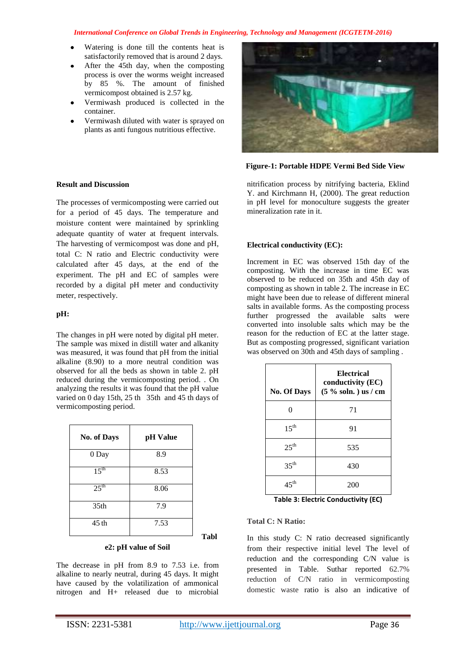## *International Conference on Global Trends in Engineering, Technology and Management (ICGTETM-2016)*

- Watering is done till the contents heat is satisfactorily removed that is around 2 days.
- After the 45th day, when the composting process is over the worms weight increased by 85 %. The amount of finished vermicompost obtained is 2.57 kg.
- Vermiwash produced is collected in the container.
- Vermiwash diluted with water is sprayed on plants as anti fungous nutritious effective.



### **Figure-1: Portable HDPE Vermi Bed Side View**

nitrification process by nitrifying bacteria, Eklind Y. and Kirchmann H, (2000). The great reduction in pH level for monoculture suggests the greater mineralization rate in it.

# **Electrical conductivity (EC):**

Increment in EC was observed 15th day of the composting. With the increase in time EC was observed to be reduced on 35th and 45th day of composting as shown in table 2. The increase in EC might have been due to release of different mineral salts in available forms. As the composting process further progressed the available salts were converted into insoluble salts which may be the reason for the reduction of EC at the latter stage. But as composting progressed, significant variation was observed on 30th and 45th days of sampling .

| <b>No. Of Days</b> | Electrical<br>conductivity (EC)<br>$(5\%$ soln.) us / cm |
|--------------------|----------------------------------------------------------|
|                    | 71                                                       |
| $15^{\text{th}}$   | 91                                                       |
| $25^{\text{th}}$   | 535                                                      |
| $35^{\text{th}}$   | 430                                                      |
| $45^{\text{th}}$   | 200                                                      |

**Table 3: Electric Conductivity (EC)**

# **Total C: N Ratio:**

In this study C: N ratio decreased significantly from their respective initial level The level of reduction and the corresponding C/N value is presented in Table. Suthar reported 62.7% reduction of C/N ratio in vermicomposting domestic waste ratio is also an indicative of

# **Result and Discussion**

The processes of vermicomposting were carried out for a period of 45 days. The temperature and moisture content were maintained by sprinkling adequate quantity of water at frequent intervals. The harvesting of vermicompost was done and pH, total C: N ratio and Electric conductivity were calculated after 45 days, at the end of the experiment. The pH and EC of samples were recorded by a digital pH meter and conductivity meter, respectively.

# **pH:**

The changes in pH were noted by digital pH meter. The sample was mixed in distill water and alkanity was measured, it was found that pH from the initial alkaline (8.90) to a more neutral condition was observed for all the beds as shown in table 2. pH reduced during the vermicomposting period. . On analyzing the results it was found that the pH value varied on 0 day 15th, 25 th 35th and 45 th days of vermicomposting period.

| No. of Days      | pH Value |
|------------------|----------|
| 0 Day            | 8.9      |
| $15^{th}$        | 8.53     |
| $25^{\text{th}}$ | 8.06     |
| 35 <sub>th</sub> | 7.9      |
| 45 th            | 7.53     |

### **e2: pH value of Soil**

The decrease in pH from 8.9 to 7.53 i.e. from alkaline to nearly neutral, during 45 days. It might have caused by the volatilization of ammonical nitrogen and H+ released due to microbial

**Tabl**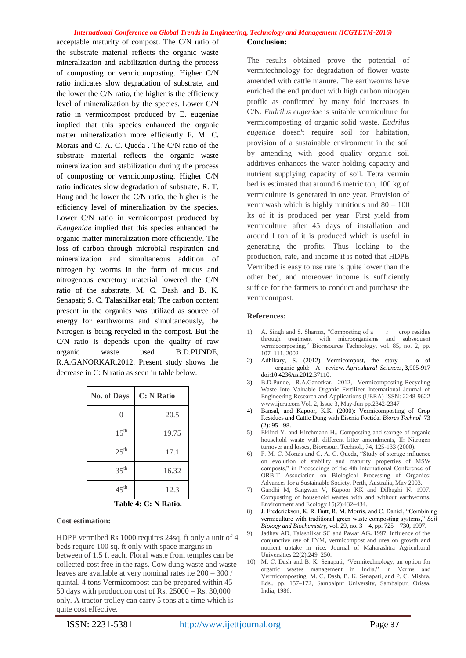#### *International Conference on Global Trends in Engineering, Technology and Management (ICGTETM-2016)*

acceptable maturity of compost. The C/N ratio of the substrate material reflects the organic waste mineralization and stabilization during the process of composting or vermicomposting. Higher C/N ratio indicates slow degradation of substrate, and the lower the C/N ratio, the higher is the efficiency level of mineralization by the species. Lower C/N ratio in vermicompost produced by E. eugeniae implied that this species enhanced the organic matter mineralization more efficiently F. M. C. Morais and C. A. C. Queda . The C/N ratio of the substrate material reflects the organic waste mineralization and stabilization during the process of composting or vermicomposting. Higher C/N ratio indicates slow degradation of substrate, R. T. Haug and the lower the C/N ratio, the higher is the efficiency level of mineralization by the species. Lower C/N ratio in vermicompost produced by *E.eugeniae* implied that this species enhanced the organic matter mineralization more efficiently. The loss of carbon through microbial respiration and mineralization and simultaneous addition of nitrogen by worms in the form of mucus and nitrogenous excretory material lowered the C/N ratio of the substrate, M. C. Dash and B. K. Senapati; S. C. Talashilkar etal; The carbon content present in the organics was utilized as source of energy for earthworms and simultaneously, the Nitrogen is being recycled in the compost. But the C/N ratio is depends upon the quality of raw organic waste used B.D.PUNDE, R.A.GANORKAR,2012. Present study shows the decrease in C: N ratio as seen in table below.

| <b>No. of Days</b> | <b>C: N Ratio</b> |
|--------------------|-------------------|
| 0                  | 20.5              |
| $15^{\rm th}$      | 19.75             |
| $25^{\text{th}}$   | 17.1              |
| $35^{\text{th}}$   | 16.32             |
| $45^{\text{th}}$   | 12.3              |

**Table 4: C: N Ratio.**

### **Cost estimation:**

HDPE vermibed Rs 1000 requires 24sq. ft only a unit of 4 beds require 100 sq. ft only with space margins in between of 1.5 ft each. Floral waste from temples can be collected cost free in the rags. Cow dung waste and waste leaves are available at very nominal rates i.e 200 – 300 / quintal. 4 tons Vermicompost can be prepared within 45 - 50 days with production cost of Rs. 25000 – Rs. 30,000 only. A tractor trolley can carry 5 tons at a time which is quite cost effective.

#### **Conclusion:**

The results obtained prove the potential of vermitechnology for degradation of flower waste amended with cattle manure. The earthworms have enriched the end product with high carbon nitrogen profile as confirmed by many fold increases in C/N. *Eudrilus eugeniae* is suitable vermiculture for vermicomposting of organic solid waste. *Eudrilus eugeniae* doesn't require soil for habitation, provision of a sustainable environment in the soil by amending with good quality organic soil additives enhances the water holding capacity and nutrient supplying capacity of soil. Tetra vermin bed is estimated that around 6 metric ton, 100 kg of vermiculture is generated in one year. Provision of vermiwash which is highly nutritious and 80 – 100 lts of it is produced per year. First yield from vermiculture after 45 days of installation and around I ton of it is produced which is useful in generating the profits. Thus looking to the production, rate, and income it is noted that HDPE Vermibed is easy to use rate is quite lower than the other bed, and moreover income is sufficiently suffice for the farmers to conduct and purchase the vermicompost.

#### **References:**

- 1) A. Singh and S. Sharma, "Composting of a r crop residue through treatment with microorganisms and subsequent vermicomposting," Bioresource Technology, vol. 85, no. 2, pp. 107–111, 2002
- 2) Adhikary, S. (2012) Vermicompost, the story o of organic gold: A review. *Agricultural Sciences*, **3**,905-917 doi:10.4236/as.2012.37110.
- 3) B.D.Punde, R.A.Ganorkar, 2012, Vermicomposting-Recycling Waste Into Valuable Organic Fertilizer International Journal of Engineering Research and Applications (IJERA) ISSN: 2248-9622 www.ijera.com Vol. 2, Issue 3, May-Jun pp.2342-2347
- 4) Bansal, and Kapoor, K.K. (2000): Vermicomposting of Crop Residues and Cattle Dung with Eisenia Foetida. *Biores Technol* 73  $(2)$ : 95 - 98
- 5) Eklind Y. and Kirchmann H., Composting and storage of organic household waste with different litter amendments, II: Nitrogen turnover and losses, Bioresour. Technol., 74, 125-133 (2000).
- 6) F. M. C. Morais and C. A. C. Queda, "Study of storage influence on evolution of stability and maturity properties of MSW composts," in Proceedings of the 4th International Conference of ORBIT Association on Biological Processing of Organics: Advances for a Sustainable Society, Perth, Australia, May 2003.
- 7) Gandhi M, Sangwan V, Kapoor KK and Dilbaghi N. 1997. Composting of household wastes with and without earthworms. Environment and Ecology 15(2):432–434.
- 8) J. Frederickson, K. R. Butt, R. M. Morris, and C. Daniel, "Combining vermiculture with traditional green waste composting systems," Soil *Biology and Biochemistry*, vol. 29, no. 3 – 4, pp. 725 – 730, 1997.
- 9) Jadhav AD, Talashilkar SC and Pawar AG**.** 1997. Influence of the conjunctive use of FYM, vermicompost and urea on growth and nutrient uptake in rice. Journal of Maharashtra Agricultural Universities 22(2):249–250.
- 10) M. C. Dash and B. K. Senapati, "Vermitechnology, an option for organic wastes management in India," in Verms and Vermicomposting, M. C. Dash, B. K. Senapati, and P. C. Mishra, Eds., pp. 157–172, Sambalpur University, Sambalpur, Orissa, India, 1986.